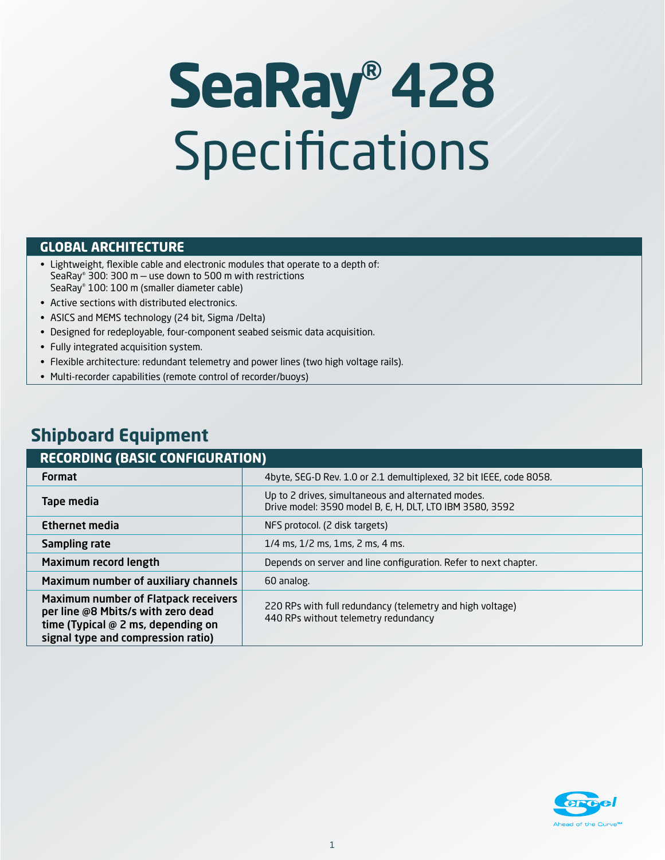# **SeaRay®**428 Specifications

#### **GLOBAL ARCHITECTURE**

- Lightweight, flexible cable and electronic modules that operate to a depth of: SeaRay® 300: 300 m — use down to 500 m with restrictions SeaRay® 100: 100 m (smaller diameter cable)
- Active sections with distributed electronics.
- ASICS and MEMS technology (24 bit, Sigma /Delta)
- Designed for redeployable, four-component seabed seismic data acquisition.
- Fully integrated acquisition system.
- Flexible architecture: redundant telemetry and power lines (two high voltage rails).
- Multi-recorder capabilities (remote control of recorder/buoys)

## **Shipboard Equipment**

| <b>RECORDING (BASIC CONFIGURATION)</b>                                                                                                                 |                                                                                                                |  |  |  |
|--------------------------------------------------------------------------------------------------------------------------------------------------------|----------------------------------------------------------------------------------------------------------------|--|--|--|
| <b>Format</b>                                                                                                                                          | 4byte, SEG-D Rev. 1.0 or 2.1 demultiplexed, 32 bit IEEE, code 8058.                                            |  |  |  |
| Tape media                                                                                                                                             | Up to 2 drives, simultaneous and alternated modes.<br>Drive model: 3590 model B, E, H, DLT, LTO IBM 3580, 3592 |  |  |  |
| Ethernet media                                                                                                                                         | NFS protocol. (2 disk targets)                                                                                 |  |  |  |
| Sampling rate                                                                                                                                          | $1/4$ ms, $1/2$ ms, $1$ ms, $2$ ms, $4$ ms.                                                                    |  |  |  |
| Maximum record length                                                                                                                                  | Depends on server and line configuration. Refer to next chapter.                                               |  |  |  |
| Maximum number of auxiliary channels                                                                                                                   | 60 analog.                                                                                                     |  |  |  |
| Maximum number of Flatpack receivers<br>per line @8 Mbits/s with zero dead<br>time (Typical @ 2 ms, depending on<br>signal type and compression ratio) | 220 RPs with full redundancy (telemetry and high voltage)<br>440 RPs without telemetry redundancy              |  |  |  |

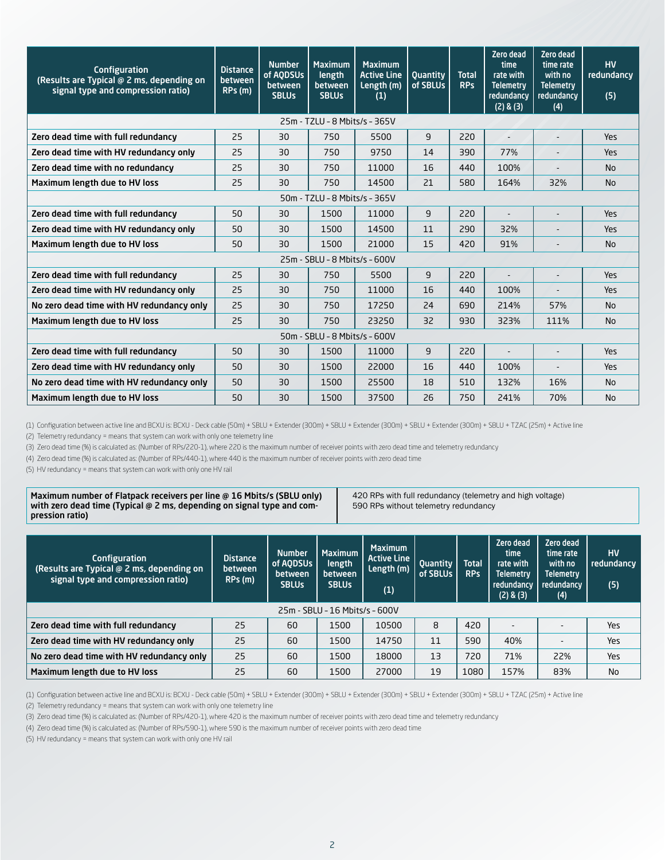| Configuration<br>(Results are Typical @ 2 ms, depending on<br>signal type and compression ratio) | <b>Distance</b><br>between<br>RPs (m) | <b>Number</b><br>of AQDSUs<br>between<br><b>SBLUs</b> | <b>Maximum</b><br>length<br>between<br><b>SBLUs</b> | <b>Maximum</b><br><b>Active Line</b><br>Length (m)<br>(1) | <b>Quantity</b><br>of SBLUs | <b>Total</b><br><b>RPs</b> | Zero dead<br>time<br>rate with<br><b>Telemetry</b><br>redundancy<br>(2) & (3) | Zero dead<br>time rate<br>with no<br><b>Telemetry</b><br>redundancy<br>(4) | <b>HV</b><br>redundancy<br>(5) |
|--------------------------------------------------------------------------------------------------|---------------------------------------|-------------------------------------------------------|-----------------------------------------------------|-----------------------------------------------------------|-----------------------------|----------------------------|-------------------------------------------------------------------------------|----------------------------------------------------------------------------|--------------------------------|
|                                                                                                  |                                       |                                                       | 25m - TZLU - 8 Mbits/s - 365V                       |                                                           |                             |                            |                                                                               |                                                                            |                                |
| Zero dead time with full redundancy                                                              | 25                                    | 30                                                    | 750                                                 | 5500                                                      | $\overline{9}$              | 220                        |                                                                               |                                                                            | Yes                            |
| Zero dead time with HV redundancy only                                                           | 25                                    | 30                                                    | 750                                                 | 9750                                                      | 14                          | 390                        | 77%                                                                           |                                                                            | Yes                            |
| Zero dead time with no redundancy                                                                | 25                                    | 30                                                    | 750                                                 | 11000                                                     | 16                          | 440                        | 100%                                                                          | $\blacksquare$                                                             | <b>No</b>                      |
| Maximum length due to HV loss                                                                    | 25                                    | 30                                                    | 750                                                 | 14500                                                     | 21                          | 580                        | 164%                                                                          | 32%                                                                        | <b>No</b>                      |
|                                                                                                  |                                       |                                                       | 50m - TZLU - 8 Mbits/s - 365V                       |                                                           |                             |                            |                                                                               |                                                                            |                                |
| Zero dead time with full redundancy                                                              | 50                                    | 30                                                    | 1500                                                | 11000                                                     | 9                           | 220                        |                                                                               |                                                                            | Yes                            |
| Zero dead time with HV redundancy only                                                           | 50                                    | 30                                                    | 1500                                                | 14500                                                     | 11                          | 290                        | 32%                                                                           |                                                                            | Yes                            |
| Maximum length due to HV loss                                                                    | 50                                    | 30                                                    | 1500                                                | 21000                                                     | 15                          | 420                        | 91%                                                                           |                                                                            | <b>No</b>                      |
|                                                                                                  |                                       |                                                       | 25m - SBLU - 8 Mbits/s - 600V                       |                                                           |                             |                            |                                                                               |                                                                            |                                |
| Zero dead time with full redundancy                                                              | 25                                    | 30                                                    | 750                                                 | 5500                                                      | 9                           | 220                        |                                                                               |                                                                            | <b>Yes</b>                     |
| Zero dead time with HV redundancy only                                                           | 25                                    | 30                                                    | 750                                                 | 11000                                                     | 16                          | 440                        | 100%                                                                          |                                                                            | Yes                            |
| No zero dead time with HV redundancy only                                                        | 25                                    | 30                                                    | 750                                                 | 17250                                                     | 24                          | 690                        | 214%                                                                          | 57%                                                                        | <b>No</b>                      |
| Maximum length due to HV loss                                                                    | 25                                    | 30                                                    | 750                                                 | 23250                                                     | 32                          | 930                        | 323%                                                                          | 111%                                                                       | <b>No</b>                      |
| 50m - SBLU - 8 Mbits/s - 600V                                                                    |                                       |                                                       |                                                     |                                                           |                             |                            |                                                                               |                                                                            |                                |
| Zero dead time with full redundancy                                                              | 50                                    | 30                                                    | 1500                                                | 11000                                                     | $\overline{9}$              | 220                        |                                                                               |                                                                            | Yes                            |
| Zero dead time with HV redundancy only                                                           | 50                                    | 30                                                    | 1500                                                | 22000                                                     | 16                          | 440                        | 100%                                                                          |                                                                            | Yes                            |
| No zero dead time with HV redundancy only                                                        | 50                                    | 30                                                    | 1500                                                | 25500                                                     | 18                          | 510                        | 132%                                                                          | 16%                                                                        | <b>No</b>                      |
| Maximum length due to HV loss                                                                    | 50                                    | 30                                                    | 1500                                                | 37500                                                     | 26                          | 750                        | 241%                                                                          | 70%                                                                        | <b>No</b>                      |

(1) Configuration between active line and BCXU is: BCXU - Deck cable (50m) + SBLU + Extender (300m) + SBLU + Extender (300m) + SBLU + Extender (300m) + SBLU + TZAC (25m) + Active line

(2) Telemetry redundancy = means that system can work with only one telemetry line

(3) Zero dead time (%) is calculated as: (Number of RPs/220-1), where 220 is the maximum number of receiver points with zero dead time and telemetry redundancy

(4) Zero dead time (%) is calculated as: (Number of RPs/440-1), where 440 is the maximum number of receiver points with zero dead time

(5) HV redundancy = means that system can work with only one HV rail

Maximum number of Flatpack receivers per line @ 16 Mbits/s (SBLU only) with zero dead time (Typical @ 2 ms, depending on signal type and compression ratio)

420 RPs with full redundancy (telemetry and high voltage) 590 RPs without telemetry redundancy

| <b>Configuration</b><br>(Results are Typical @ 2 ms, depending on<br>signal type and compression ratio) | <b>Distance</b><br>between<br>RPs(m) | <b>Number</b><br>of AODSUs<br>between<br><b>SBLUs</b> | <b>Maximum</b><br>length<br>between<br><b>SBLUs</b> | <b>Maximum</b><br>Active Line<br>Length (m)<br>(1) | Quantity<br>of SBLUs | <b>Total</b><br><b>RPs</b> | Zero dead<br>time<br>rate with<br><b>Telemetry</b><br>redundancy<br>$(2)$ & $(3)$ | Zero dead<br>time rate<br>with no<br><b>Telemetry</b><br>redundancy<br>(4) | <b>HV</b><br>redundancy<br>(5) |
|---------------------------------------------------------------------------------------------------------|--------------------------------------|-------------------------------------------------------|-----------------------------------------------------|----------------------------------------------------|----------------------|----------------------------|-----------------------------------------------------------------------------------|----------------------------------------------------------------------------|--------------------------------|
| 25m - SBLU - 16 Mbits/s - 600V                                                                          |                                      |                                                       |                                                     |                                                    |                      |                            |                                                                                   |                                                                            |                                |
| Zero dead time with full redundancy                                                                     | 25                                   | 60                                                    | 1500                                                | 10500                                              | 8                    | 420                        |                                                                                   |                                                                            | Yes                            |
| Zero dead time with HV redundancy only                                                                  | 25                                   | 60                                                    | 1500                                                | 14750                                              | 11                   | 590                        | 40%                                                                               |                                                                            | Yes                            |
| No zero dead time with HV redundancy only                                                               | 25                                   | 60                                                    | 1500                                                | 18000                                              | 13                   | 720                        | 71%                                                                               | 22%                                                                        | Yes                            |
| Maximum length due to HV loss                                                                           | 25                                   | 60                                                    | 1500                                                | 27000                                              | 19                   | 1080                       | 157%                                                                              | 83%                                                                        | No                             |

(1) Configuration between active line and BCXU is: BCXU - Deck cable (50m) + SBLU + Extender (300m) + SBLU + Extender (300m) + SBLU + Extender (300m) + SBLU + TZAC (25m) + Active line

(2) Telemetry redundancy = means that system can work with only one telemetry line

(3) Zero dead time (%) is calculated as: (Number of RPs/420-1), where 420 is the maximum number of receiver points with zero dead time and telemetry redundancy

(4) Zero dead time (%) is calculated as: (Number of RPs/590-1), where 590 is the maximum number of receiver points with zero dead time

(5) HV redundancy = means that system can work with only one HV rail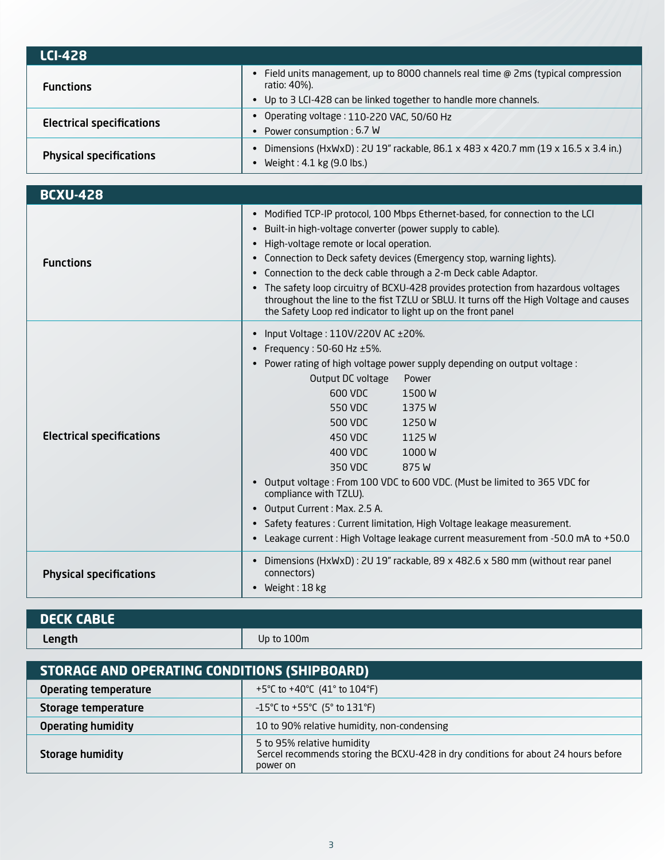| <b>LCI-428</b>                   |                                                                                                                                                                       |
|----------------------------------|-----------------------------------------------------------------------------------------------------------------------------------------------------------------------|
| <b>Functions</b>                 | Field units management, up to 8000 channels real time @ 2ms (typical compression<br>ratio: 40%).<br>• Up to 3 LCI-428 can be linked together to handle more channels. |
| <b>Electrical specifications</b> | Operating voltage: 110-220 VAC, 50/60 Hz<br>$\bullet$<br>Power consumption: 6.7 W                                                                                     |
| <b>Physical specifications</b>   | Dimensions (HxWxD): 2U 19" rackable, 86.1 x 483 x 420.7 mm (19 x 16.5 x 3.4 in.)<br>Weight: 4.1 kg (9.0 lbs.)                                                         |
|                                  |                                                                                                                                                                       |

| <b>BCXU-428</b>                  |                                                                                                                                                                                                                                                                                                                                                                                                                                                                                                                                                                                                                     |  |  |  |
|----------------------------------|---------------------------------------------------------------------------------------------------------------------------------------------------------------------------------------------------------------------------------------------------------------------------------------------------------------------------------------------------------------------------------------------------------------------------------------------------------------------------------------------------------------------------------------------------------------------------------------------------------------------|--|--|--|
| <b>Functions</b>                 | Modified TCP-IP protocol, 100 Mbps Ethernet-based, for connection to the LCI<br>$\bullet$<br>Built-in high-voltage converter (power supply to cable).<br>High-voltage remote or local operation.<br>Connection to Deck safety devices (Emergency stop, warning lights).<br>$\bullet$<br>Connection to the deck cable through a 2-m Deck cable Adaptor.<br>The safety loop circuitry of BCXU-428 provides protection from hazardous voltages<br>throughout the line to the fist TZLU or SBLU. It turns off the High Voltage and causes<br>the Safety Loop red indicator to light up on the front panel               |  |  |  |
| <b>Electrical specifications</b> | Input Voltage: 110V/220V AC ±20%.<br>Frequency: 50-60 Hz ±5%.<br>Power rating of high voltage power supply depending on output voltage :<br>Output DC voltage<br>Power<br>600 VDC<br>1500 W<br>550 VDC<br>1375W<br>500 VDC<br>1250 W<br>450 VDC<br>1125 W<br>400 VDC<br>1000W<br>350 VDC<br>875 W<br>Output voltage: From 100 VDC to 600 VDC. (Must be limited to 365 VDC for<br>compliance with TZLU).<br>Output Current : Max. 2.5 A.<br>Safety features: Current limitation, High Voltage leakage measurement.<br>$\bullet$<br>Leakage current : High Voltage leakage current measurement from -50.0 mA to +50.0 |  |  |  |
| <b>Physical specifications</b>   | Dimensions (HxWxD): 2U 19" rackable, 89 x 482.6 x 580 mm (without rear panel<br>connectors)<br>Weight: 18 kg                                                                                                                                                                                                                                                                                                                                                                                                                                                                                                        |  |  |  |

| <b>DECK CABLE</b> |            |
|-------------------|------------|
| Length            | Up to 100m |
|                   |            |

| STORAGE AND OPERATING CONDITIONS (SHIPBOARD) |                                                                                                                              |  |  |
|----------------------------------------------|------------------------------------------------------------------------------------------------------------------------------|--|--|
| <b>Operating temperature</b>                 | +5°C to +40°C $(41°$ to 104°F)                                                                                               |  |  |
| Storage temperature                          | $-15^{\circ}$ C to +55 $^{\circ}$ C (5 $^{\circ}$ to 131 $^{\circ}$ F)                                                       |  |  |
| <b>Operating humidity</b>                    | 10 to 90% relative humidity, non-condensing                                                                                  |  |  |
| <b>Storage humidity</b>                      | 5 to 95% relative humidity<br>Sercel recommends storing the BCXU-428 in dry conditions for about 24 hours before<br>power on |  |  |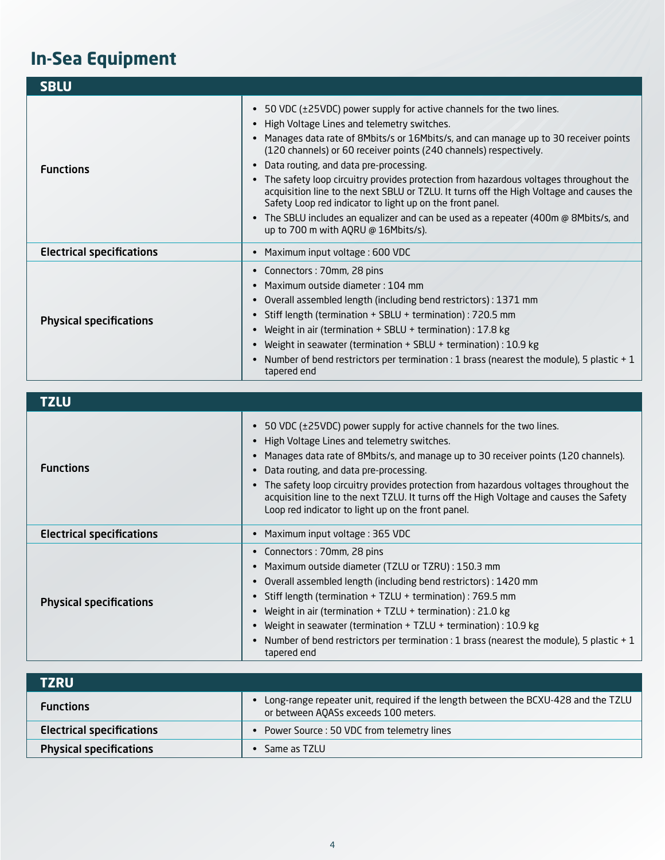## **In-Sea Equipment**

| <b>SBLU</b>                      |                                                                                                                                                                                                                                                                                                                                                                                                                                                                                                                                                                                                                                                                                                                                |
|----------------------------------|--------------------------------------------------------------------------------------------------------------------------------------------------------------------------------------------------------------------------------------------------------------------------------------------------------------------------------------------------------------------------------------------------------------------------------------------------------------------------------------------------------------------------------------------------------------------------------------------------------------------------------------------------------------------------------------------------------------------------------|
| <b>Functions</b>                 | 50 VDC (±25VDC) power supply for active channels for the two lines.<br>High Voltage Lines and telemetry switches.<br>$\bullet$<br>Manages data rate of 8Mbits/s or 16Mbits/s, and can manage up to 30 receiver points<br>(120 channels) or 60 receiver points (240 channels) respectively.<br>Data routing, and data pre-processing.<br>$\bullet$<br>The safety loop circuitry provides protection from hazardous voltages throughout the<br>acquisition line to the next SBLU or TZLU. It turns off the High Voltage and causes the<br>Safety Loop red indicator to light up on the front panel.<br>The SBLU includes an equalizer and can be used as a repeater (400m @ 8Mbits/s, and<br>up to 700 m with AQRU @ 16Mbits/s). |
| <b>Electrical specifications</b> | Maximum input voltage: 600 VDC                                                                                                                                                                                                                                                                                                                                                                                                                                                                                                                                                                                                                                                                                                 |
| <b>Physical specifications</b>   | Connectors: 70mm, 28 pins<br>Maximum outside diameter: 104 mm<br>Overall assembled length (including bend restrictors) : 1371 mm<br>Stiff length (termination + SBLU + termination) : 720.5 mm<br>Weight in air (termination + SBLU + termination) : 17.8 kg<br>Weight in seawater (termination + SBLU + termination) : 10.9 kg<br>Number of bend restrictors per termination : 1 brass (nearest the module), 5 plastic + 1<br>$\bullet$<br>tapered end                                                                                                                                                                                                                                                                        |

**TZLU Functions** • 50 VDC (±25VDC) power supply for active channels for the two lines. • High Voltage Lines and telemetry switches. • Manages data rate of 8Mbits/s, and manage up to 30 receiver points (120 channels). • Data routing, and data pre-processing. • The safety loop circuitry provides protection from hazardous voltages throughout the acquisition line to the next TZLU. It turns off the High Voltage and causes the Safety Loop red indicator to light up on the front panel. Electrical specifications • Maximum input voltage : 365 VDC Physical specifications • Connectors : 70mm, 28 pins • Maximum outside diameter (TZLU or TZRU) : 150.3 mm • Overall assembled length (including bend restrictors) : 1420 mm • Stiff length (termination + TZLU + termination) : 769.5 mm • Weight in air (termination + TZLU + termination) : 21.0 kg • Weight in seawater (termination + TZLU + termination) : 10.9 kg • Number of bend restrictors per termination : 1 brass (nearest the module), 5 plastic + 1 tapered end

| <b>TZRU</b>                      |                                                                                                                            |
|----------------------------------|----------------------------------------------------------------------------------------------------------------------------|
| <b>Functions</b>                 | Long-range repeater unit, required if the length between the BCXU-428 and the TZLU<br>or between AQASs exceeds 100 meters. |
| <b>Electrical specifications</b> | Power Source: 50 VDC from telemetry lines                                                                                  |
| <b>Physical specifications</b>   | Same as TZLU                                                                                                               |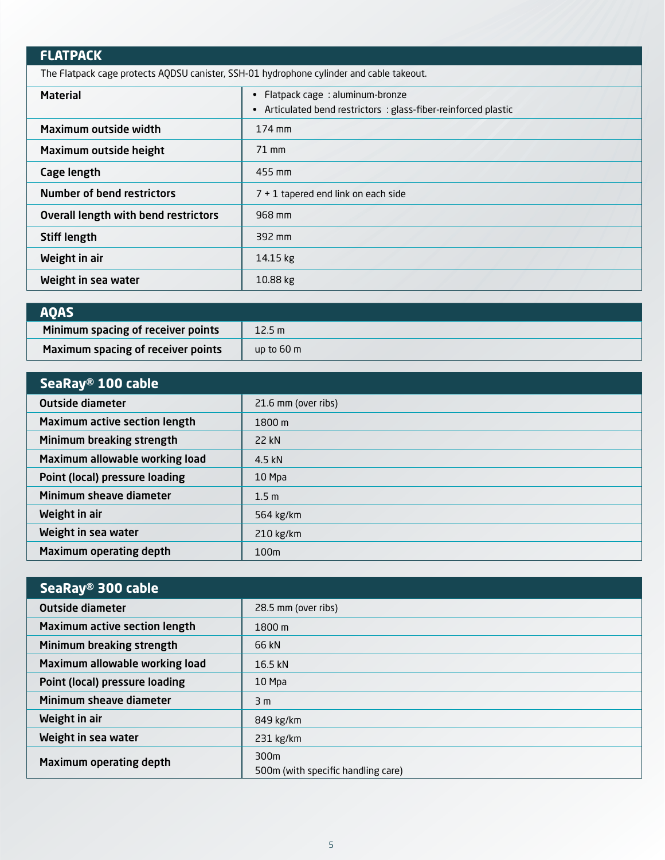### **FLATPACK**

The Flatpack cage protects AQDSU canister, SSH-01 hydrophone cylinder and cable takeout.

| <b>Material</b>                      | Flatpack cage: aluminum-bronze<br>$\bullet$<br>Articulated bend restrictors: glass-fiber-reinforced plastic<br>$\bullet$ |
|--------------------------------------|--------------------------------------------------------------------------------------------------------------------------|
| Maximum outside width                | 174 mm                                                                                                                   |
| Maximum outside height               | $71$ mm                                                                                                                  |
| Cage length                          | 455 mm                                                                                                                   |
| <b>Number of bend restrictors</b>    | $7 + 1$ tapered end link on each side                                                                                    |
| Overall length with bend restrictors | 968 mm                                                                                                                   |
| <b>Stiff length</b>                  | 392 mm                                                                                                                   |
| Weight in air                        | 14.15 kg                                                                                                                 |
| Weight in sea water                  | $10.88$ kg                                                                                                               |

| <b>AOAS</b>                        |                      |
|------------------------------------|----------------------|
| Minimum spacing of receiver points | 12.5 m               |
| Maximum spacing of receiver points | up to $60 \text{ m}$ |

| SeaRay® 100 cable                    |                     |  |  |  |
|--------------------------------------|---------------------|--|--|--|
| <b>Outside diameter</b>              | 21.6 mm (over ribs) |  |  |  |
| <b>Maximum active section length</b> | $1800 \,\mathrm{m}$ |  |  |  |
| Minimum breaking strength            | 22 kN               |  |  |  |
| Maximum allowable working load       | 4.5 kN              |  |  |  |
| Point (local) pressure loading       | 10 Mpa              |  |  |  |
| Minimum sheave diameter              | 1.5 <sub>m</sub>    |  |  |  |
| Weight in air                        | 564 kg/km           |  |  |  |
| Weight in sea water                  | $210$ kg/km         |  |  |  |
| <b>Maximum operating depth</b>       | 100m                |  |  |  |

| SeaRay® 300 cable                    |                                            |
|--------------------------------------|--------------------------------------------|
| <b>Outside diameter</b>              | 28.5 mm (over ribs)                        |
| <b>Maximum active section length</b> | 1800 m                                     |
| Minimum breaking strength            | 66 kN                                      |
| Maximum allowable working load       | 16.5 kN                                    |
| Point (local) pressure loading       | 10 Mpa                                     |
| Minimum sheave diameter              | 3 m                                        |
| Weight in air                        | 849 kg/km                                  |
| Weight in sea water                  | $231$ kg/km                                |
| <b>Maximum operating depth</b>       | 300m<br>500m (with specific handling care) |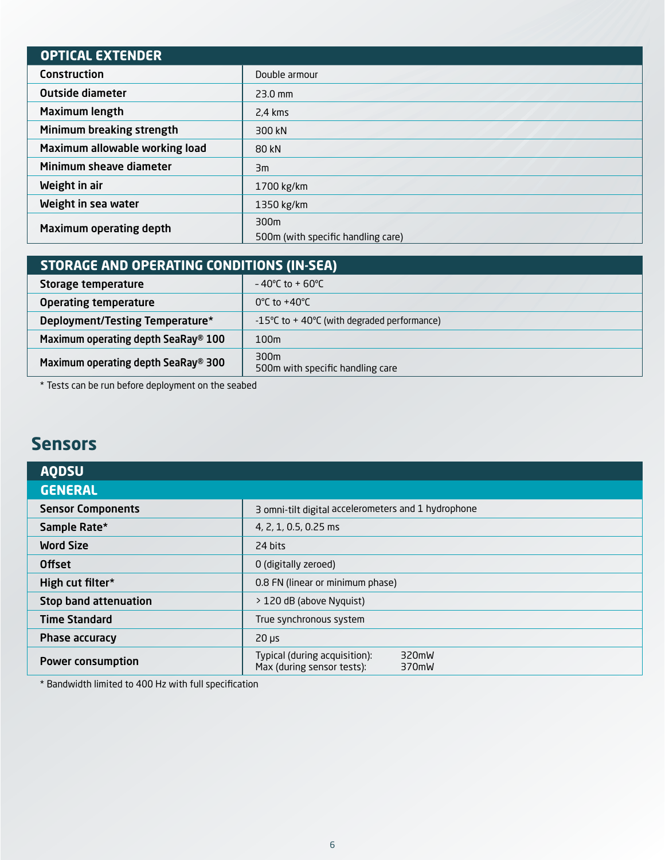| <b>OPTICAL EXTENDER</b>        |                                    |
|--------------------------------|------------------------------------|
| <b>Construction</b>            | Double armour                      |
| <b>Outside diameter</b>        | $23.0$ mm                          |
| <b>Maximum length</b>          | $2.4 \text{ km}$ s                 |
| Minimum breaking strength      | 300 kN                             |
| Maximum allowable working load | 80 kN                              |
| Minimum sheave diameter        | Зm                                 |
| Weight in air                  | 1700 kg/km                         |
| Weight in sea water            | 1350 kg/km                         |
| Maximum operating depth        | 300m                               |
|                                | 500m (with specific handling care) |

| STORAGE AND OPERATING CONDITIONS (IN-SEA) |                                               |  |  |  |
|-------------------------------------------|-----------------------------------------------|--|--|--|
| Storage temperature                       | $-40^{\circ}$ C to + 60 $^{\circ}$ C          |  |  |  |
| <b>Operating temperature</b>              | $0^{\circ}$ C to +40 $^{\circ}$ C             |  |  |  |
| Deployment/Testing Temperature*           | -15°C to $+$ 40°C (with degraded performance) |  |  |  |
| Maximum operating depth SeaRay® 100       | 100m                                          |  |  |  |
| Maximum operating depth SeaRay® 300       | 300m<br>500m with specific handling care      |  |  |  |

\* Tests can be run before deployment on the seabed

## **Sensors**

| <b>AQDSU</b>                 |                                                                               |
|------------------------------|-------------------------------------------------------------------------------|
| <b>GENERAL</b>               |                                                                               |
| <b>Sensor Components</b>     | 3 omni-tilt digital accelerometers and 1 hydrophone                           |
| Sample Rate*                 | 4, 2, 1, 0.5, 0.25 ms                                                         |
| <b>Word Size</b>             | 24 bits                                                                       |
| <b>Offset</b>                | 0 (digitally zeroed)                                                          |
| High cut filter*             | 0.8 FN (linear or minimum phase)                                              |
| <b>Stop band attenuation</b> | > 120 dB (above Nyquist)                                                      |
| <b>Time Standard</b>         | True synchronous system                                                       |
| Phase accuracy               | $20 \mu s$                                                                    |
| <b>Power consumption</b>     | 320mW<br>Typical (during acquisition):<br>Max (during sensor tests):<br>370mW |

\* Bandwidth limited to 400 Hz with full specification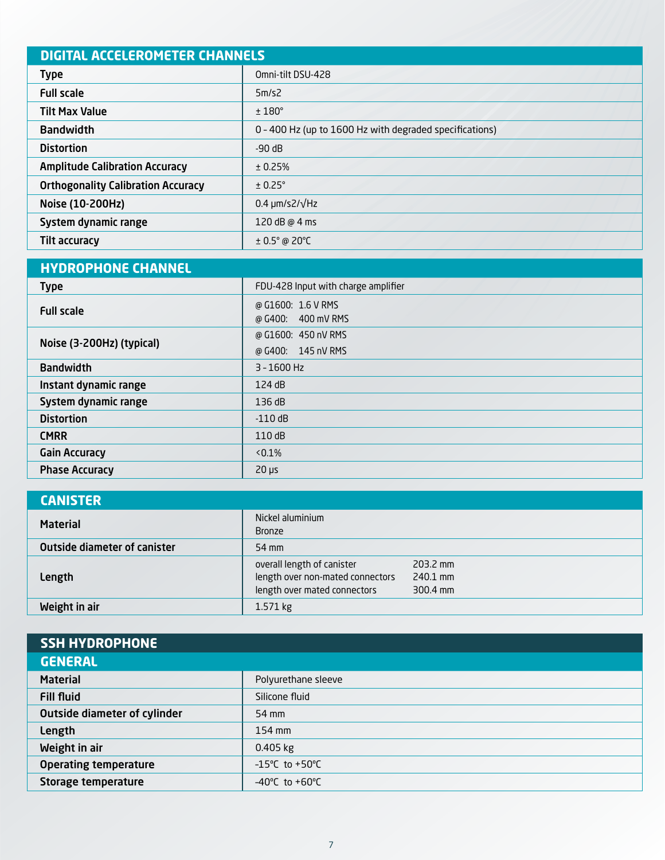| <b>DIGITAL ACCELEROMETER CHANNELS</b>     |                                                         |  |  |
|-------------------------------------------|---------------------------------------------------------|--|--|
| <b>Type</b>                               | Omni-tilt DSU-428                                       |  |  |
| <b>Full scale</b>                         | 5m/s2                                                   |  |  |
| <b>Tilt Max Value</b>                     | $±180^\circ$                                            |  |  |
| <b>Bandwidth</b>                          | 0 - 400 Hz (up to 1600 Hz with degraded specifications) |  |  |
| <b>Distortion</b>                         | $-90$ dB                                                |  |  |
| <b>Amplitude Calibration Accuracy</b>     | ± 0.25%                                                 |  |  |
| <b>Orthogonality Calibration Accuracy</b> | $± 0.25^\circ$                                          |  |  |
| Noise (10-200Hz)                          | $0.4 \mu m/s2/\sqrt{Hz}$                                |  |  |
| System dynamic range                      | 120 dB @ 4 ms                                           |  |  |
| <b>Tilt accuracy</b>                      | $\pm$ 0.5° @ 20°C                                       |  |  |

| <b>HYDROPHONE CHANNEL</b> |                                             |
|---------------------------|---------------------------------------------|
| <b>Type</b>               | FDU-428 Input with charge amplifier         |
| <b>Full scale</b>         | @ G1600: 1.6 V RMS<br>400 mV RMS<br>@ G400: |
|                           | @ G1600: 450 nV RMS                         |
| Noise (3-200Hz) (typical) | @ G400: 145 nV RMS                          |
| <b>Bandwidth</b>          | $3 - 1600$ Hz                               |
| Instant dynamic range     | 124 dB                                      |
| System dynamic range      | 136dB                                       |
| <b>Distortion</b>         | $-110$ dB                                   |
| <b>CMRR</b>               | 110dB                                       |
| <b>Gain Accuracy</b>      | $< 0.1\%$                                   |
| <b>Phase Accuracy</b>     | $20 \mu s$                                  |

| <b>CANISTER</b>                     |                                                                                                |                                  |
|-------------------------------------|------------------------------------------------------------------------------------------------|----------------------------------|
| <b>Material</b>                     | Nickel aluminium<br><b>Bronze</b>                                                              |                                  |
| <b>Outside diameter of canister</b> | 54 mm                                                                                          |                                  |
| Length                              | overall length of canister<br>length over non-mated connectors<br>length over mated connectors | 203.2 mm<br>240.1 mm<br>300.4 mm |
| Weight in air                       | 1.571 kg                                                                                       |                                  |

| <b>SSH HYDROPHONE</b>               |                                     |
|-------------------------------------|-------------------------------------|
| <b>GENERAL</b>                      |                                     |
| <b>Material</b>                     | Polyurethane sleeve                 |
| <b>Fill fluid</b>                   | Silicone fluid                      |
| <b>Outside diameter of cylinder</b> | 54 mm                               |
| Length                              | 154 mm                              |
| Weight in air                       | $0.405$ kg                          |
| <b>Operating temperature</b>        | $-15^{\circ}$ C to +50 $^{\circ}$ C |
| Storage temperature                 | $-40^{\circ}$ C to $+60^{\circ}$ C  |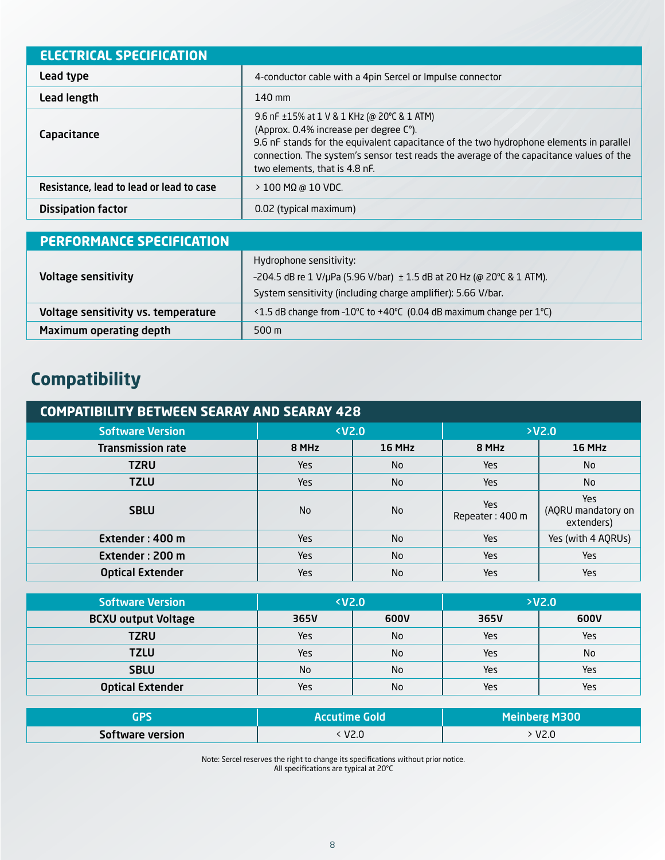| <b>ELECTRICAL SPECIFICATION</b>          |                                                                                                                                                                                                                                                                                                                   |
|------------------------------------------|-------------------------------------------------------------------------------------------------------------------------------------------------------------------------------------------------------------------------------------------------------------------------------------------------------------------|
| Lead type                                | 4-conductor cable with a 4pin Sercel or Impulse connector                                                                                                                                                                                                                                                         |
| Lead length                              | $140 \text{ mm}$                                                                                                                                                                                                                                                                                                  |
| Capacitance                              | 9.6 nF $\pm$ 15% at 1 V & 1 KHz (@ 20°C & 1 ATM)<br>(Approx. 0.4% increase per degree C°).<br>9.6 nF stands for the equivalent capacitance of the two hydrophone elements in parallel<br>connection. The system's sensor test reads the average of the capacitance values of the<br>two elements, that is 4.8 nF. |
| Resistance, lead to lead or lead to case | $>$ 100 MΩ @ 10 VDC.                                                                                                                                                                                                                                                                                              |
| <b>Dissipation factor</b>                | 0.02 (typical maximum)                                                                                                                                                                                                                                                                                            |

| <b>PERFORMANCE SPECIFICATION</b>    |                                                                       |  |
|-------------------------------------|-----------------------------------------------------------------------|--|
|                                     | Hydrophone sensitivity:                                               |  |
| <b>Voltage sensitivity</b>          | -204.5 dB re 1 V/µPa (5.96 V/bar) ± 1.5 dB at 20 Hz (@ 20°C & 1 ATM). |  |
|                                     | System sensitivity (including charge amplifier): 5.66 V/bar.          |  |
| Voltage sensitivity vs. temperature | <1.5 dB change from -10°C to +40°C (0.04 dB maximum change per 1°C)   |  |
| Maximum operating depth             | $500 \text{ m}$                                                       |  |

# **Compatibility**

| <b>COMPATIBILITY BETWEEN SEARAY AND SEARAY 428</b> |                             |                |                               |                                         |  |
|----------------------------------------------------|-----------------------------|----------------|-------------------------------|-----------------------------------------|--|
| <b>Software Version</b>                            | <b><v2.0< b=""></v2.0<></b> |                | YZ.0                          |                                         |  |
| <b>Transmission rate</b>                           | 8 MHz                       | 16 MHz         | 8 MHz                         | <b>16 MHz</b>                           |  |
| <b>TZRU</b>                                        | Yes                         | No.            | <b>Yes</b>                    | <b>No</b>                               |  |
| <b>TZLU</b>                                        | Yes                         | No.            | Yes                           | <b>No</b>                               |  |
| <b>SBLU</b>                                        | <b>No</b>                   | No.            | <b>Yes</b><br>Repeater: 400 m | Yes<br>(AQRU mandatory on<br>extenders) |  |
| Extender: 400 m                                    | Yes                         | <b>No</b>      | <b>Yes</b>                    | Yes (with 4 AQRUs)                      |  |
| Extender: 200 m                                    | Yes                         | <b>No</b>      | Yes                           | <b>Yes</b>                              |  |
| <b>Optical Extender</b>                            | Yes                         | N <sub>0</sub> | <b>Yes</b>                    | <b>Yes</b>                              |  |

| <b>Software Version</b>    | $V2.0$     |           | YZ.0 |      |
|----------------------------|------------|-----------|------|------|
| <b>BCXU output Voltage</b> | 365V       | 600V      | 365V | 600V |
| <b>TZRU</b>                | Yes        | <b>No</b> | Yes  | Yes  |
| <b>TZLU</b>                | <b>Yes</b> | No        | Yes  | No   |
| <b>SBLU</b>                | <b>No</b>  | No        | Yes  | Yes  |
| <b>Optical Extender</b>    | Yes        | <b>No</b> | Yes  | Yes  |

|                         | <b>Accutime Gold</b> | <b>Meinberg M300</b> |
|-------------------------|----------------------|----------------------|
| <b>Software version</b> | V2.0                 | V2.0                 |

Note: Sercel reserves the right to change its specifications without prior notice. All specifications are typical at 20°C